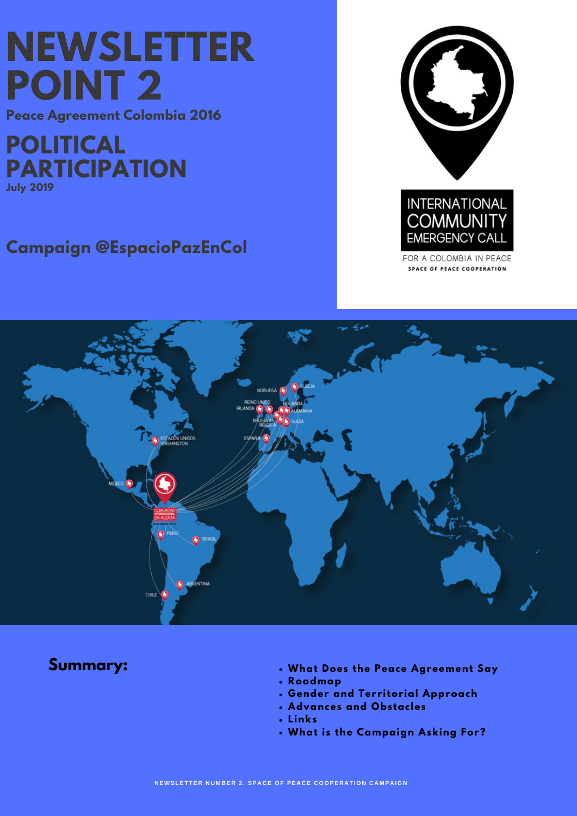# **NEWSLETTER POINT 2**

**Peace Agreement Colombia 2016**

**POLITICAL PARTICIPATION July 2019**

# **Campaign @EspacioPazEnCol**



FOR A COLOMBIA IN PEACE **SPACE OF PEACE COOPERATION** 



- **Summary: What Does the Peace Agreement Say**
	- **Roadmap**
	- **Gender and Territorial Approach**
	- **Advances and Obstacles**
	- **Links**
	- **What is the Campaign Asking For?**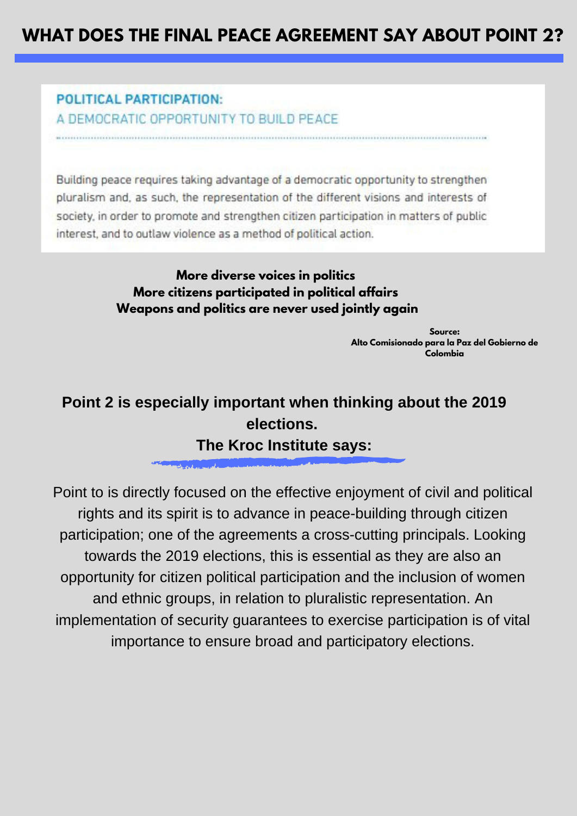# **WHAT DOES THE FINAL PEACE AGREEMENT SAY ABOUT POINT 2?**

## **POLITICAL PARTICIPATION:** A DEMOCRATIC OPPORTUNITY TO BUILD PEACE

Building peace requires taking advantage of a democratic opportunity to strengthen pluralism and, as such, the representation of the different visions and interests of society, in order to promote and strengthen citizen participation in matters of public interest, and to outlaw violence as a method of political action.

### **More diverse voices in politics More citizens [participated](http://www.altocomisionadoparalapaz.gov.co/herramientas/Documents/summary-of-colombias-peace-agreement.pdf) in political affairs Weapons and politics are never used jointly again**

**Source: Alto [Comisionado](http://www.altocomisionadoparalapaz.gov.co/herramientas/Documents/summary-of-colombias-peace-agreement.pdf) para la Paz del Gobierno de Colombia**

# **Point 2 is especially important when thinking about the 2019 elections. The Kroc Institute says:**

Point to is directly focused on the effective enjoyment of civil and political rights and its spirit is to advance in peace-building through citizen participation; one of the agreements a cross-cutting principals. Looking towards the 2019 elections, this is essential as they are also an opportunity for citizen political participation and the inclusion of women and ethnic groups, in relation to pluralistic representation. An [implementation](http://www.altocomisionadoparalapaz.gov.co/herramientas/Documents/summary-of-colombias-peace-agreement.pdf) of security guarantees to exercise participation is of vital importance to ensure broad and participatory elections.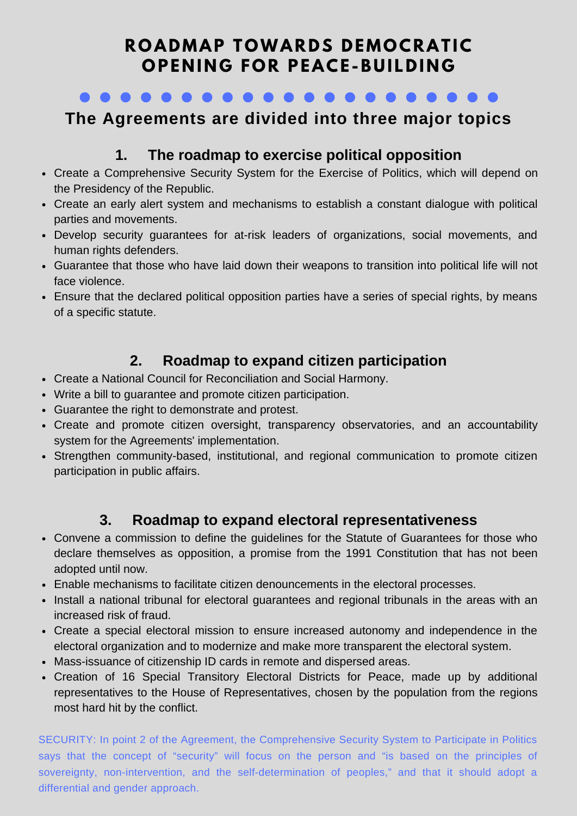# **R O ADMAP T OWAR D S D EMO CRAT IC O PE N I N G F O R PEACE -B U I L D I N G**

 $\bullet\bullet\bullet\bullet\bullet\bullet$ 

# **The Agreements are divided into three major topics**

# **1. The roadmap to exercise political opposition**

- Create a Comprehensive Security System for the Exercise of Politics, which will depend on the Presidency of the Republic.
- Create an early alert system and mechanisms to establish a constant dialogue with political parties and movements.
- Develop security guarantees for at-risk leaders of organizations, social movements, and human rights defenders.
- Guarantee that those who have laid down their weapons to transition into political life will not face violence.
- Ensure that the declared political opposition parties have a series of special rights, by means of a specific statute.

# **2. Roadmap to expand citizen participation**

- Create a National Council for Reconciliation and Social Harmony.
- Write a bill to guarantee and promote citizen participation.
- Guarantee the right to demonstrate and protest.
- Create and promote citizen oversight, transparency observatories, and an accountability system for the Agreements' implementation.
- Strengthen community-based, institutional, and regional communication to promote citizen participation in public affairs.

# **3. Roadmap to expand electoral representativeness**

- Convene a commission to define the guidelines for the Statute of Guarantees for those who declare themselves as opposition, a promise from the 1991 Constitution that has not been adopted until now.
- Enable mechanisms to facilitate citizen denouncements in the electoral processes.
- Install a national tribunal for electoral quarantees and regional tribunals in the areas with an increased risk of fraud.
- Create a special electoral mission to ensure increased autonomy and independence in the electoral organization and to modernize and make more transparent the electoral system.
- Mass-issuance of citizenship ID cards in remote and dispersed areas.
- Creation of 16 Special Transitory Electoral Districts for Peace, made up by additional representatives to the House of Representatives, chosen by the population from the regions most hard hit by the conflict.

SECURITY: In point 2 of the Agreement, the Comprehensive Security System to Participate in Politics says that the concept of "security" will focus on the person and "is based on the principles of sovereignty, non-intervention, and the [self-determination](http://www.altocomisionadoparalapaz.gov.co/herramientas/Documents/Nuevo_enterese_version_6_Sep_final_web.pdf) of peoples," and that it should adopt a differential and gender approach.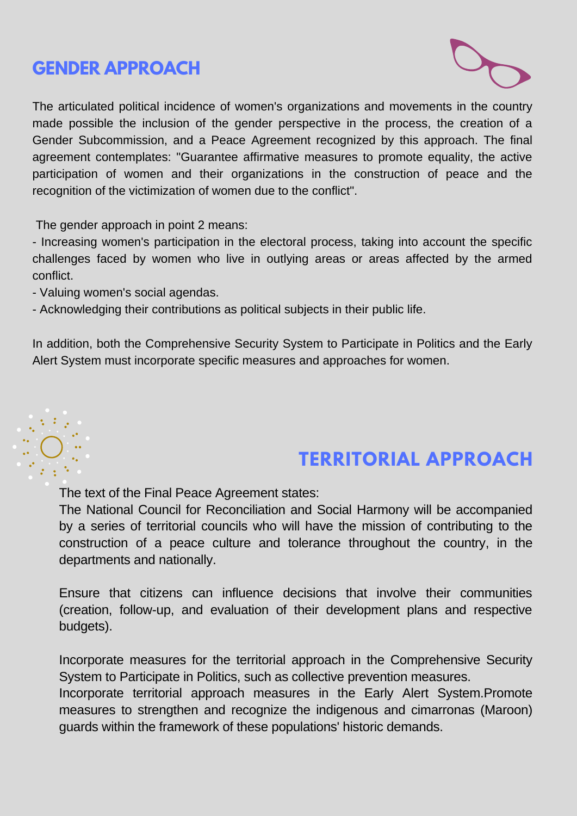# **GENDER [APPROACH](http://cumbrenacionaldemujeresypaz.com/wp-content/uploads/2018/12/cumbre-libro-edicion-digital2.pdf)**



The articulated political incidence of women's organizations and movements in the country made possible the inclusion of the gender perspective in the process, the creation of a Gender Subcommission, and a Peace Agreement recognized by this approach. The final agreement contemplates: "Guarantee affirmative measures to promote equality, the active participation of women and their organizations in the construction of peace and the recognition of the victimization of women due to the conflict".

The gender approach in point 2 means:

- Increasing women's participation in the electoral process, taking into account the specific challenges faced by women who live in outlying areas or areas affected by the armed conflict.

- Valuing women's social agendas.

- Acknowledging their contributions as political subjects in their public life.

In addition, both the Comprehensive Security System to Participate in Politics and the Early Alert System must incorporate specific measures and approaches for women.



# **TERRITORIAL APPROACH**

The text of the Final Peace Agreement states:

The National Council for Reconciliation and Social Harmony will be accompanied by a series of territorial councils who will have the mission of contributing to the construction of a peace culture and tolerance throughout the country, in the departments and nationally.

Ensure that citizens can influence decisions that involve their communities (creation, follow-up, and evaluation of their development plans and respective budgets).

Incorporate measures for the territorial approach in the Comprehensive Security System to Participate in Politics, such as collective prevention measures.

Incorporate territorial approach measures in the Early Alert System.Promote measures to strengthen and recognize the indigenous and cimarronas (Maroon) guards within the framework of these populations' historic demands.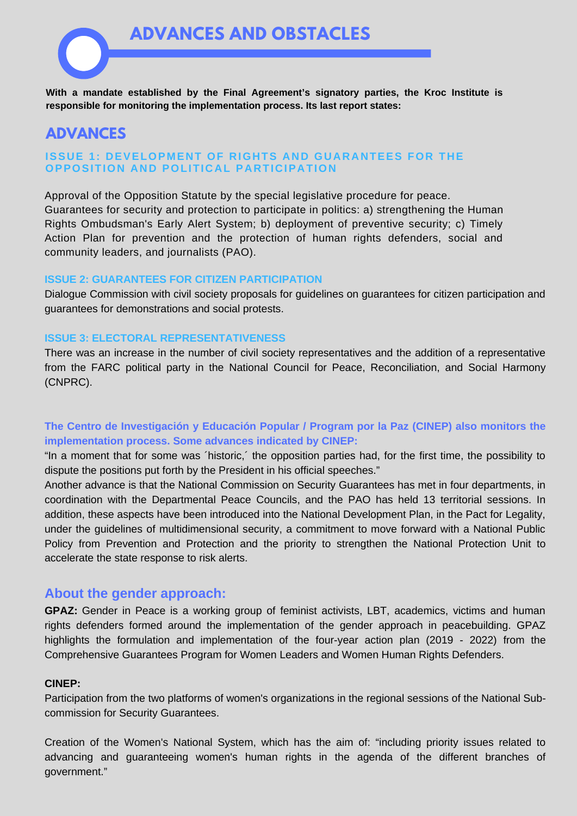

### **ADVANCES**

#### **ISSUE 1: DEVELOPMENT OF RIGHTS AND GUARANTEES FOR THE OPPOSITION AND POLITICAL PARTICIPATION**

Approval of the Opposition Statute by the special legislative procedure for peace. Guarantees for security and protection to participate in politics: a) strengthening the Human Rights Ombudsman's Early Alert System; b) deployment of preventive security; c) Timely Action Plan for prevention and the protection of human rights defenders, social and community leaders, and journalists (PAO).

#### **ISSUE 2: GUARANTEES FOR CITIZEN PARTICIPATION**

Dialogue Commission with civil society proposals for guidelines on guarantees for citizen participation and guarantees for demonstrations and social protests.

#### **ISSUE 3: ELECTORAL REPRESENTATIVENESS**

There was an increase in the number of civil society representatives and the addition of a representative from the FARC political party in the National Council for Peace, Reconciliation, and Social Harmony (CNPRC).

#### **The Centro de Investigación y Educación Popular / Program por la Paz (CINEP) also monitors the implementation process. Some advances indicated by CINEP:**

"In a moment that for some was ´historic,´ the opposition parties had, for the first time, the possibility to dispute the positions put forth by the President in his official speeches."

Another advance is that the National Commission on Security Guarantees has met in four departments, in coordination with the Departmental Peace Councils, and the PAO has held 13 territorial sessions. In addition, these aspects have been introduced into the National Development Plan, in the Pact for Legality, under the guidelines of multidimensional security, a commitment to move forward with a National Public Policy from Prevention and Protection and the priority to strengthen the National Protection Unit to accelerate the state response to risk alerts.

#### **About the gender approach:**

**GPAZ:** Gender in Peace is a working group of feminist activists, LBT, academics, victims and human rights defenders formed around the implementation of the gender approach in peacebuilding. GPAZ highlights the formulation and implementation of the four-year action plan (2019 - 2022) from the Comprehensive Guarantees Program for Women Leaders and Women Human Rights Defenders.

#### **CINEP:**

Participation from the two platforms of women's organizations in the regional sessions of the National Subcommission for Security Guarantees.

Creation of the Women's National System, which has the aim of: "including priority issues related to advancing and guaranteeing women's human rights in the agenda of the different branches of government."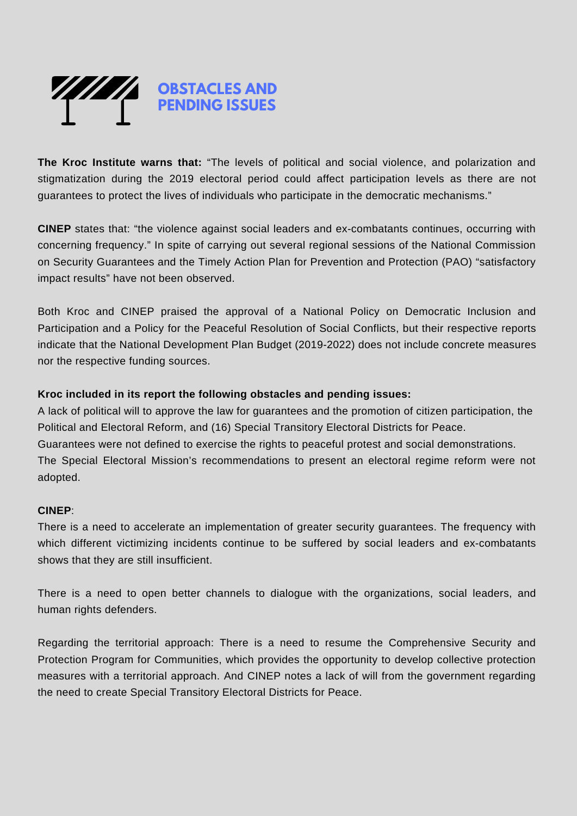

**The Kroc Institute warns that:** "The levels of political and social violence, and polarization and stigmatization during the 2019 electoral period could affect participation levels as there are not guarantees to protect the lives of individuals who participate in the democratic mechanisms."

**CINEP** states that: "the violence against social leaders and ex-combatants continues, occurring with concerning frequency." In spite of carrying out several regional sessions of the National Commission on Security Guarantees and the Timely Action Plan for Prevention and Protection (PAO) "satisfactory impact results" have not been observed.

Both Kroc and CINEP praised the approval of a National Policy on Democratic Inclusion and Participation and a Policy for the Peaceful Resolution of Social Conflicts, but their respective reports indicate that the National Development Plan Budget (2019-2022) does not include concrete measures nor the respective funding sources.

#### **Kroc included in its report the following obstacles and pending issues:**

A lack of political will to approve the law for guarantees and the promotion of citizen participation, the Political and Electoral Reform, and (16) Special Transitory Electoral Districts for Peace. Guarantees were not defined to exercise the rights to peaceful protest and social demonstrations. The Special Electoral Mission's recommendations to present an electoral regime reform were not adopted.

#### **CINEP**:

There is a need to accelerate an implementation of greater security guarantees. The frequency with which different victimizing incidents continue to be suffered by social leaders and ex-combatants shows that they are still insufficient.

There is a need to open better channels to dialogue with the organizations, social leaders, and human rights defenders.

Regarding the territorial approach: There is a need to resume the Comprehensive Security and Protection Program for Communities, which provides the opportunity to develop collective protection measures with a territorial approach. And CINEP notes a lack of will from the government regarding the need to create Special Transitory Electoral Districts for Peace.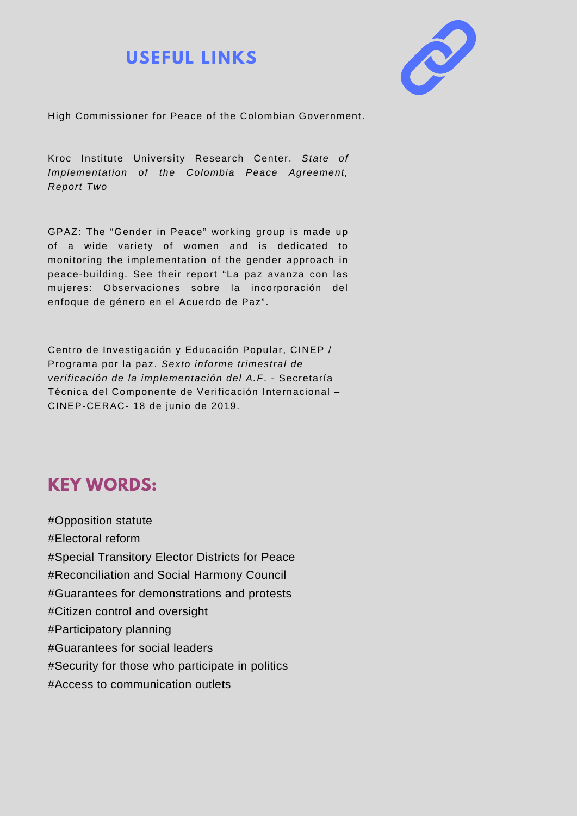# **USEFUL LINKS**



High [Commissioner](http://www.altocomisionadoparalapaz.gov.co/herramientas/Documents/summary-of-colombias-peace-agreement.pdf) for Peace of the Colombian Government.

Kroc Institute University Research Center. *State of [Implementation](https://kroc.nd.edu/assets/284862/executive_summary_2_with_logos.pdf) of the Colombia Peace Agreement, Report Two*

GPAZ: The "Gender in Peace" working group is made up of a wide variety of women and is dedicated to monitoring the implementation of the gender approach in [peace-building.](https://www.dejusticia.org/gpaz-lanza-informe-sobre-implementacion-del-acuerdo-de-paz-en-clave-de-genero/) See their report "La paz avanza con las mujeres: Observaciones sobre la incorporación del enfoque de género en el Acuerdo de Paz".

Centro de Investigación y Educación Popular, CINEP / Programa por la paz. *Sexto informe trimestral de verificación de la [implementación](https://www.cinep.org.co/Home2/component/k2/704-sexto-informe-de-verificacion-de-la-implementacion-del-acuerdo-final-de-paz-en-colombia-para-los-verificadores-internacionales.html) del A.F*. - Secretaría Técnica del Componente de Verificación Internacional – CINEP-CERAC- 18 de junio de 2019.

# **KEY [WORDS:](https://www.cinep.org.co/Home2/component/k2/704-sexto-informe-de-verificacion-de-la-implementacion-del-acuerdo-final-de-paz-en-colombia-para-los-verificadores-internacionales.html)**

#Opposition statute #Electoral reform #Special Transitory Elector Districts for Peace #Reconciliation and Social Harmony Council #Guarantees for demonstrations and protests #Citizen control and oversight #Participatory planning #Guarantees for social leaders #Security for those who participate in politics #Access to communication outlets